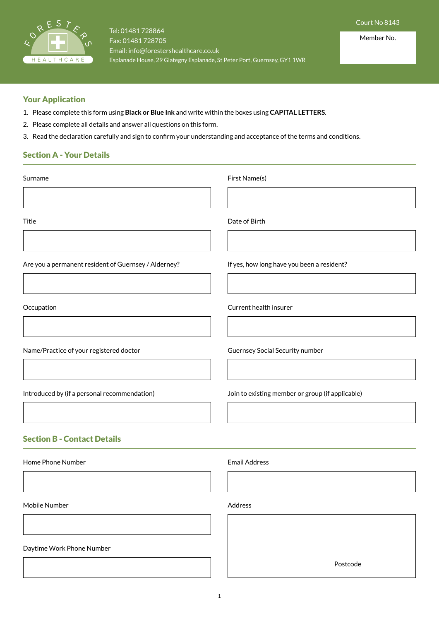

# Your Application

- 1. Please complete this form using **Black or Blue Ink** and write within the boxes using **CAPITAL LETTERS**.
- 2. Please complete all details and answer all questions on this form.
- 3. Read the declaration carefully and sign to confirm your understanding and acceptance of the terms and conditions.

# Section A - Your Details

| Surname                                              | First Name(s)                                    |
|------------------------------------------------------|--------------------------------------------------|
| Title                                                | Date of Birth                                    |
| Are you a permanent resident of Guernsey / Alderney? | If yes, how long have you been a resident?       |
| Occupation                                           | Current health insurer                           |
| Name/Practice of your registered doctor              | Guernsey Social Security number                  |
| Introduced by (if a personal recommendation)         | Join to existing member or group (if applicable) |
| <b>Section B - Contact Details</b>                   |                                                  |
| Home Phone Number                                    | <b>Email Address</b>                             |
| Mobile Number                                        | Address                                          |
| Daytime Work Phone Number                            |                                                  |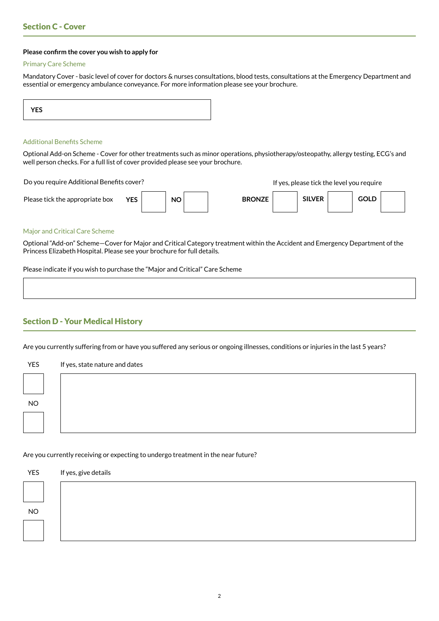#### **Please confirm the cover you wish to apply for**

#### Primary Care Scheme

Mandatory Cover - basic level of cover for doctors & nurses consultations, blood tests, consultations at the Emergency Department and essential or emergency ambulance conveyance. For more information please see your brochure.

| <b>YES</b> |
|------------|
|------------|

## Additional Benefits Scheme

Optional Add-on Scheme - Cover for other treatments such as minor operations, physiotherapy/osteopathy, allergy testing, ECG's and well person checks. For a full list of cover provided please see your brochure.

Do you require Additional Benefits cover? If yes, please tick the level you require

| Please tick the appropriate box | <b>YES</b> | <b>NO</b> | <b>BRONZE</b> | <b>SILVED</b><br><b>SILVER</b> | GOLD |  |
|---------------------------------|------------|-----------|---------------|--------------------------------|------|--|
|                                 |            |           |               |                                |      |  |

#### Major and Critical Care Scheme

Optional "Add-on" Scheme—Cover for Major and Critical Category treatment within the Accident and Emergency Department of the Princess Elizabeth Hospital. Please see your brochure for full details.

Please indicate if you wish to purchase the "Major and Critical" Care Scheme

## Section D - Your Medical History

Are you currently suffering from or have you suffered any serious or ongoing illnesses, conditions or injuries in the last 5 years?

| <b>YES</b> | If yes, state nature and dates |
|------------|--------------------------------|
|            |                                |
| $NO$       |                                |
|            |                                |
|            |                                |

### Are you currently receiving or expecting to undergo treatment in the near future?

| <b>YES</b> | If yes, give details |
|------------|----------------------|
|            |                      |
| $\rm NO$   |                      |
|            |                      |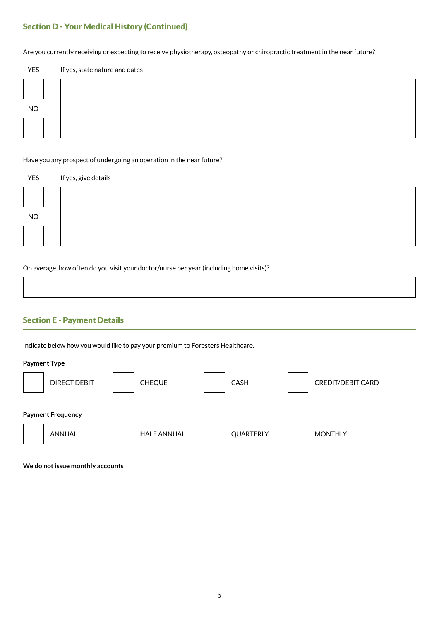# Section D - Your Medical History (Continued)

Are you currently receiving or expecting to receive physiotherapy, osteopathy or chiropractic treatment in the near future?

| YES       | If yes, state nature and dates |
|-----------|--------------------------------|
|           |                                |
| <b>NO</b> |                                |
|           |                                |

### Have you any prospect of undergoing an operation in the near future?

| YES  | If yes, give details |
|------|----------------------|
|      |                      |
| $NO$ |                      |
|      |                      |
|      |                      |

On average, how often do you visit your doctor/nurse per year (including home visits)?

# Section E - Payment Details

Indicate below how you would like to pay your premium to Foresters Healthcare.

### **Payment Type**

| <b>DIRECT DEBIT</b>                       | <b>CHEQUE</b>      | <b>CASH</b> | <b>CREDIT/DEBIT CARD</b> |
|-------------------------------------------|--------------------|-------------|--------------------------|
| <b>Payment Frequency</b><br><b>ANNUAL</b> | <b>HALF ANNUAL</b> | QUARTERLY   | <b>MONTHLY</b>           |

**We do not issue monthly accounts**